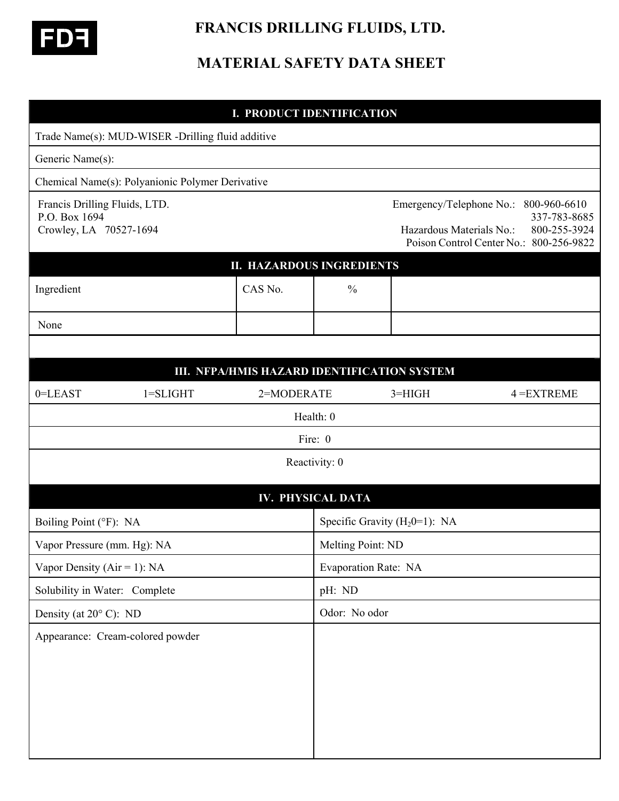

# **FRANCIS DRILLING FLUIDS, LTD.**

## **MATERIAL SAFETY DATA SHEET**

|                                                                          |                                                   | I. PRODUCT IDENTIFICATION                   |                                                                                                 |               |                                              |  |  |  |
|--------------------------------------------------------------------------|---------------------------------------------------|---------------------------------------------|-------------------------------------------------------------------------------------------------|---------------|----------------------------------------------|--|--|--|
|                                                                          | Trade Name(s): MUD-WISER -Drilling fluid additive |                                             |                                                                                                 |               |                                              |  |  |  |
| Generic Name(s):                                                         |                                                   |                                             |                                                                                                 |               |                                              |  |  |  |
|                                                                          | Chemical Name(s): Polyanionic Polymer Derivative  |                                             |                                                                                                 |               |                                              |  |  |  |
| Francis Drilling Fluids, LTD.<br>P.O. Box 1694<br>Crowley, LA 70527-1694 |                                                   |                                             | Emergency/Telephone No.:<br>Hazardous Materials No.:<br>Poison Control Center No.: 800-256-9822 |               | 800-960-6610<br>337-783-8685<br>800-255-3924 |  |  |  |
| <b>II. HAZARDOUS INGREDIENTS</b>                                         |                                                   |                                             |                                                                                                 |               |                                              |  |  |  |
| Ingredient                                                               |                                                   | CAS No.                                     | $\frac{0}{0}$                                                                                   |               |                                              |  |  |  |
| None                                                                     |                                                   |                                             |                                                                                                 |               |                                              |  |  |  |
|                                                                          |                                                   |                                             |                                                                                                 |               |                                              |  |  |  |
|                                                                          |                                                   | III. NFPA/HMIS HAZARD IDENTIFICATION SYSTEM |                                                                                                 |               |                                              |  |  |  |
| 0=LEAST                                                                  | $1 = SLIGHT$                                      | 2=MODERATE                                  |                                                                                                 | $3 = HIGH$    | $4 = EXTREME$                                |  |  |  |
|                                                                          |                                                   |                                             | Health: 0                                                                                       |               |                                              |  |  |  |
|                                                                          |                                                   |                                             | Fire: 0                                                                                         |               |                                              |  |  |  |
|                                                                          |                                                   |                                             | Reactivity: 0                                                                                   |               |                                              |  |  |  |
|                                                                          |                                                   |                                             | <b>IV. PHYSICAL DATA</b>                                                                        |               |                                              |  |  |  |
| Boiling Point (°F): NA                                                   |                                                   |                                             | Specific Gravity $(H_20=1)$ : NA                                                                |               |                                              |  |  |  |
| Vapor Pressure (mm. Hg): NA                                              |                                                   |                                             | Melting Point: ND                                                                               |               |                                              |  |  |  |
| Vapor Density ( $Air = 1$ ): NA                                          |                                                   |                                             | Evaporation Rate: NA                                                                            |               |                                              |  |  |  |
| Solubility in Water: Complete                                            |                                                   |                                             | pH: ND                                                                                          |               |                                              |  |  |  |
|                                                                          | Density (at $20^{\circ}$ C): ND                   |                                             |                                                                                                 | Odor: No odor |                                              |  |  |  |
| Appearance: Cream-colored powder                                         |                                                   |                                             |                                                                                                 |               |                                              |  |  |  |
|                                                                          |                                                   |                                             |                                                                                                 |               |                                              |  |  |  |
|                                                                          |                                                   |                                             |                                                                                                 |               |                                              |  |  |  |
|                                                                          |                                                   |                                             |                                                                                                 |               |                                              |  |  |  |
|                                                                          |                                                   |                                             |                                                                                                 |               |                                              |  |  |  |
|                                                                          |                                                   |                                             |                                                                                                 |               |                                              |  |  |  |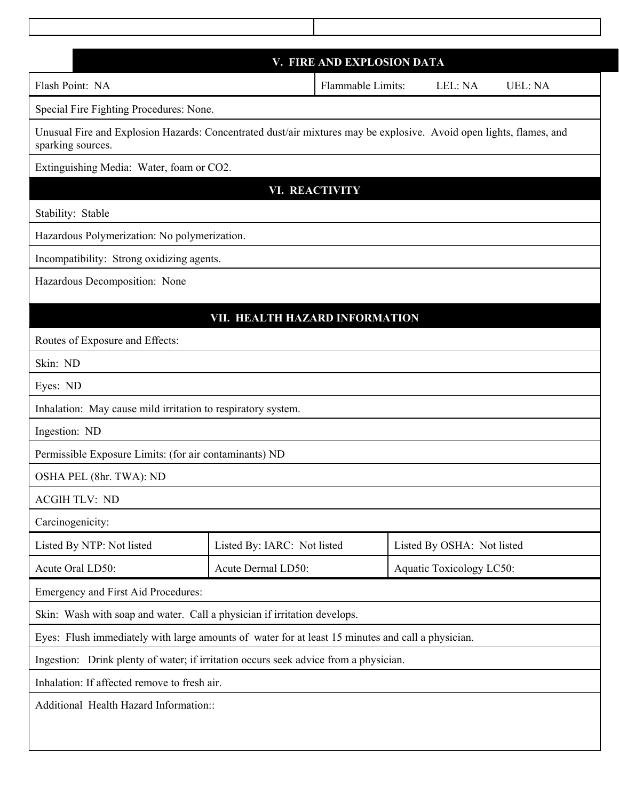|                                                                                                                                          | V. FIRE AND EXPLOSION DATA  |  |                            |                |  |  |
|------------------------------------------------------------------------------------------------------------------------------------------|-----------------------------|--|----------------------------|----------------|--|--|
| Flash Point: NA                                                                                                                          | Flammable Limits:           |  | LEL: NA                    | <b>UEL: NA</b> |  |  |
| Special Fire Fighting Procedures: None.                                                                                                  |                             |  |                            |                |  |  |
| Unusual Fire and Explosion Hazards: Concentrated dust/air mixtures may be explosive. Avoid open lights, flames, and<br>sparking sources. |                             |  |                            |                |  |  |
| Extinguishing Media: Water, foam or CO2.                                                                                                 |                             |  |                            |                |  |  |
| <b>VI. REACTIVITY</b>                                                                                                                    |                             |  |                            |                |  |  |
| Stability: Stable                                                                                                                        |                             |  |                            |                |  |  |
| Hazardous Polymerization: No polymerization.                                                                                             |                             |  |                            |                |  |  |
| Incompatibility: Strong oxidizing agents.                                                                                                |                             |  |                            |                |  |  |
| Hazardous Decomposition: None                                                                                                            |                             |  |                            |                |  |  |
|                                                                                                                                          |                             |  |                            |                |  |  |
| VII. HEALTH HAZARD INFORMATION                                                                                                           |                             |  |                            |                |  |  |
| Routes of Exposure and Effects:                                                                                                          |                             |  |                            |                |  |  |
| Skin: ND                                                                                                                                 |                             |  |                            |                |  |  |
| Eyes: ND                                                                                                                                 |                             |  |                            |                |  |  |
| Inhalation: May cause mild irritation to respiratory system.                                                                             |                             |  |                            |                |  |  |
| Ingestion: ND                                                                                                                            |                             |  |                            |                |  |  |
| Permissible Exposure Limits: (for air contaminants) ND                                                                                   |                             |  |                            |                |  |  |
| OSHA PEL (8hr. TWA): ND                                                                                                                  |                             |  |                            |                |  |  |
| <b>ACGIH TLV: ND</b>                                                                                                                     |                             |  |                            |                |  |  |
| Carcinogenicity:                                                                                                                         |                             |  |                            |                |  |  |
| Listed By NTP: Not listed                                                                                                                | Listed By: IARC: Not listed |  | Listed By OSHA: Not listed |                |  |  |
| Acute Oral LD50:                                                                                                                         | Acute Dermal LD50:          |  | Aquatic Toxicology LC50:   |                |  |  |
| Emergency and First Aid Procedures:                                                                                                      |                             |  |                            |                |  |  |
| Skin: Wash with soap and water. Call a physician if irritation develops.                                                                 |                             |  |                            |                |  |  |
| Eyes: Flush immediately with large amounts of water for at least 15 minutes and call a physician.                                        |                             |  |                            |                |  |  |
| Ingestion: Drink plenty of water; if irritation occurs seek advice from a physician.                                                     |                             |  |                            |                |  |  |
| Inhalation: If affected remove to fresh air.                                                                                             |                             |  |                            |                |  |  |
| Additional Health Hazard Information::                                                                                                   |                             |  |                            |                |  |  |
|                                                                                                                                          |                             |  |                            |                |  |  |

 $\mathsf{I}$ 

 $\mathsf{l}$